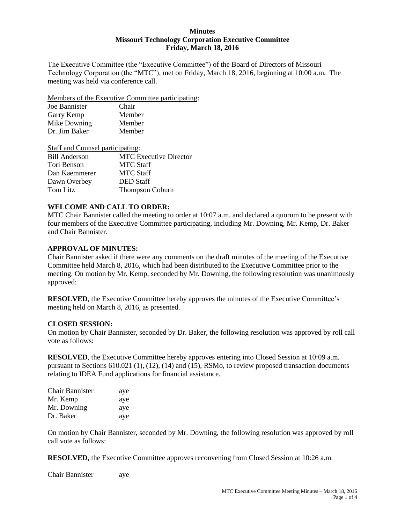#### **Minutes Missouri Technology Corporation Executive Committee Friday, March 18, 2016**

The Executive Committee (the "Executive Committee") of the Board of Directors of Missouri Technology Corporation (the "MTC"), met on Friday, March 18, 2016, beginning at 10:00 a.m. The meeting was held via conference call.

Members of the Executive Committee participating:

| Joe Bannister | Chair  |
|---------------|--------|
| Garry Kemp    | Member |
| Mike Downing  | Member |
| Dr. Jim Baker | Member |

| Staff and Counsel participating: |
|----------------------------------|
| <b>MTC Executive Director</b>    |
| <b>MTC Staff</b>                 |
| <b>MTC Staff</b>                 |
| <b>DED</b> Staff                 |
| <b>Thompson Coburn</b>           |
|                                  |

#### **WELCOME AND CALL TO ORDER:**

MTC Chair Bannister called the meeting to order at 10:07 a.m. and declared a quorum to be present with four members of the Executive Committee participating, including Mr. Downing, Mr. Kemp, Dr. Baker and Chair Bannister.

#### **APPROVAL OF MINUTES:**

Chair Bannister asked if there were any comments on the draft minutes of the meeting of the Executive Committee held March 8, 2016, which had been distributed to the Executive Committee prior to the meeting. On motion by Mr. Kemp, seconded by Mr. Downing, the following resolution was unanimously approved:

**RESOLVED**, the Executive Committee hereby approves the minutes of the Executive Committee's meeting held on March 8, 2016, as presented.

#### **CLOSED SESSION:**

On motion by Chair Bannister, seconded by Dr. Baker, the following resolution was approved by roll call vote as follows:

**RESOLVED**, the Executive Committee hereby approves entering into Closed Session at 10:09 a.m. pursuant to Sections 610.021 (1), (12), (14) and (15), RSMo, to review proposed transaction documents relating to IDEA Fund applications for financial assistance.

| <b>Chair Bannister</b> | aye |
|------------------------|-----|
| Mr. Kemp               | aye |
| Mr. Downing            | aye |
| Dr. Baker              | aye |

On motion by Chair Bannister, seconded by Mr. Downing, the following resolution was approved by roll call vote as follows:

**RESOLVED**, the Executive Committee approves reconvening from Closed Session at 10:26 a.m.

Chair Bannister aye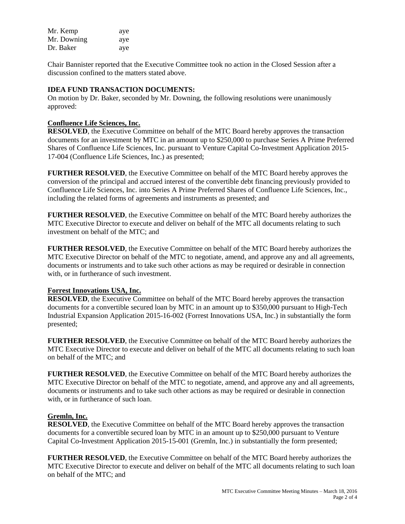| Mr. Kemp    | aye |
|-------------|-----|
| Mr. Downing | aye |
| Dr. Baker   | aye |

Chair Bannister reported that the Executive Committee took no action in the Closed Session after a discussion confined to the matters stated above.

### **IDEA FUND TRANSACTION DOCUMENTS:**

On motion by Dr. Baker, seconded by Mr. Downing, the following resolutions were unanimously approved:

#### **Confluence Life Sciences, Inc.**

**RESOLVED**, the Executive Committee on behalf of the MTC Board hereby approves the transaction documents for an investment by MTC in an amount up to \$250,000 to purchase Series A Prime Preferred Shares of Confluence Life Sciences, Inc. pursuant to Venture Capital Co-Investment Application 2015- 17-004 (Confluence Life Sciences, Inc.) as presented;

**FURTHER RESOLVED**, the Executive Committee on behalf of the MTC Board hereby approves the conversion of the principal and accrued interest of the convertible debt financing previously provided to Confluence Life Sciences, Inc. into Series A Prime Preferred Shares of Confluence Life Sciences, Inc., including the related forms of agreements and instruments as presented; and

**FURTHER RESOLVED**, the Executive Committee on behalf of the MTC Board hereby authorizes the MTC Executive Director to execute and deliver on behalf of the MTC all documents relating to such investment on behalf of the MTC; and

**FURTHER RESOLVED**, the Executive Committee on behalf of the MTC Board hereby authorizes the MTC Executive Director on behalf of the MTC to negotiate, amend, and approve any and all agreements, documents or instruments and to take such other actions as may be required or desirable in connection with, or in furtherance of such investment.

#### **Forrest Innovations USA, Inc.**

**RESOLVED**, the Executive Committee on behalf of the MTC Board hereby approves the transaction documents for a convertible secured loan by MTC in an amount up to \$350,000 pursuant to High-Tech Industrial Expansion Application 2015-16-002 (Forrest Innovations USA, Inc.) in substantially the form presented;

**FURTHER RESOLVED**, the Executive Committee on behalf of the MTC Board hereby authorizes the MTC Executive Director to execute and deliver on behalf of the MTC all documents relating to such loan on behalf of the MTC; and

**FURTHER RESOLVED**, the Executive Committee on behalf of the MTC Board hereby authorizes the MTC Executive Director on behalf of the MTC to negotiate, amend, and approve any and all agreements, documents or instruments and to take such other actions as may be required or desirable in connection with, or in furtherance of such loan.

#### **Gremln, Inc.**

**RESOLVED**, the Executive Committee on behalf of the MTC Board hereby approves the transaction documents for a convertible secured loan by MTC in an amount up to \$250,000 pursuant to Venture Capital Co-Investment Application 2015-15-001 (Gremln, Inc.) in substantially the form presented;

**FURTHER RESOLVED**, the Executive Committee on behalf of the MTC Board hereby authorizes the MTC Executive Director to execute and deliver on behalf of the MTC all documents relating to such loan on behalf of the MTC; and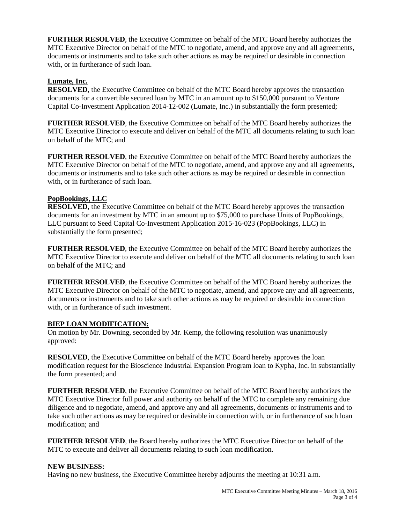**FURTHER RESOLVED**, the Executive Committee on behalf of the MTC Board hereby authorizes the MTC Executive Director on behalf of the MTC to negotiate, amend, and approve any and all agreements, documents or instruments and to take such other actions as may be required or desirable in connection with, or in furtherance of such loan.

# **Lumate, Inc.**

**RESOLVED**, the Executive Committee on behalf of the MTC Board hereby approves the transaction documents for a convertible secured loan by MTC in an amount up to \$150,000 pursuant to Venture Capital Co-Investment Application 2014-12-002 (Lumate, Inc.) in substantially the form presented;

**FURTHER RESOLVED**, the Executive Committee on behalf of the MTC Board hereby authorizes the MTC Executive Director to execute and deliver on behalf of the MTC all documents relating to such loan on behalf of the MTC; and

**FURTHER RESOLVED**, the Executive Committee on behalf of the MTC Board hereby authorizes the MTC Executive Director on behalf of the MTC to negotiate, amend, and approve any and all agreements, documents or instruments and to take such other actions as may be required or desirable in connection with, or in furtherance of such loan.

## **PopBookings, LLC**

**RESOLVED**, the Executive Committee on behalf of the MTC Board hereby approves the transaction documents for an investment by MTC in an amount up to \$75,000 to purchase Units of PopBookings, LLC pursuant to Seed Capital Co-Investment Application 2015-16-023 (PopBookings, LLC) in substantially the form presented;

**FURTHER RESOLVED**, the Executive Committee on behalf of the MTC Board hereby authorizes the MTC Executive Director to execute and deliver on behalf of the MTC all documents relating to such loan on behalf of the MTC; and

**FURTHER RESOLVED**, the Executive Committee on behalf of the MTC Board hereby authorizes the MTC Executive Director on behalf of the MTC to negotiate, amend, and approve any and all agreements, documents or instruments and to take such other actions as may be required or desirable in connection with, or in furtherance of such investment.

## **BIEP LOAN MODIFICATION:**

On motion by Mr. Downing, seconded by Mr. Kemp, the following resolution was unanimously approved:

**RESOLVED**, the Executive Committee on behalf of the MTC Board hereby approves the loan modification request for the Bioscience Industrial Expansion Program loan to Kypha, Inc. in substantially the form presented; and

**FURTHER RESOLVED**, the Executive Committee on behalf of the MTC Board hereby authorizes the MTC Executive Director full power and authority on behalf of the MTC to complete any remaining due diligence and to negotiate, amend, and approve any and all agreements, documents or instruments and to take such other actions as may be required or desirable in connection with, or in furtherance of such loan modification; and

**FURTHER RESOLVED**, the Board hereby authorizes the MTC Executive Director on behalf of the MTC to execute and deliver all documents relating to such loan modification.

#### **NEW BUSINESS:**

Having no new business, the Executive Committee hereby adjourns the meeting at 10:31 a.m.